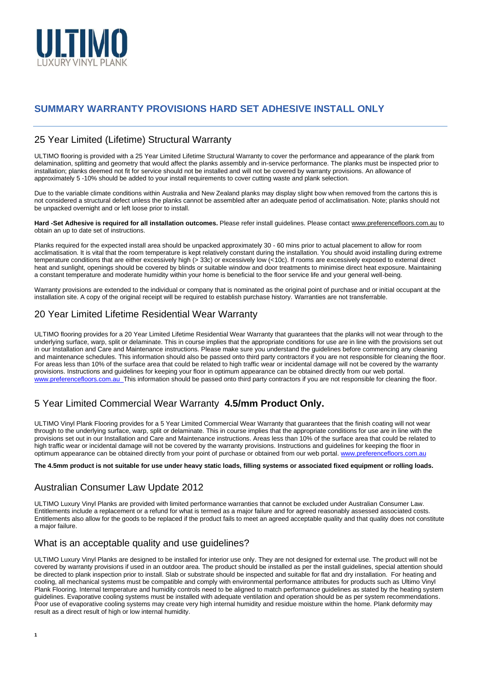

# **SUMMARY WARRANTY PROVISIONS HARD SET ADHESIVE INSTALL ONLY**

## 25 Year Limited (Lifetime) Structural Warranty

ULTIMO flooring is provided with a 25 Year Limited Lifetime Structural Warranty to cover the performance and appearance of the plank from delamination, splitting and geometry that would affect the planks assembly and in-service performance. The planks must be inspected prior to installation; planks deemed not fit for service should not be installed and will not be covered by warranty provisions. An allowance of approximately 5 -10% should be added to your install requirements to cover cutting waste and plank selection.

Due to the variable climate conditions within Australia and New Zealand planks may display slight bow when removed from the cartons this is not considered a structural defect unless the planks cannot be assembled after an adequate period of acclimatisation. Note; planks should not be unpacked overnight and or left loose prior to install.

**Hard -Set Adhesive is required for all installation outcomes.** Please refer install guidelines. Please contact [www.preferencefloors.com.au](http://www.preferencefloors.com.au/) to obtain an up to date set of instructions.

Planks required for the expected install area should be unpacked approximately 30 - 60 mins prior to actual placement to allow for room acclimatisation. It is vital that the room temperature is kept relatively constant during the installation. You should avoid installing during extreme temperature conditions that are either excessively high (> 33c) or excessively low (<10c). If rooms are excessively exposed to external direct heat and sunlight, openings should be covered by blinds or suitable window and door treatments to minimise direct heat exposure. Maintaining a constant temperature and moderate humidity within your home is beneficial to the floor service life and your general well-being.

Warranty provisions are extended to the individual or company that is nominated as the original point of purchase and or initial occupant at the installation site. A copy of the original receipt will be required to establish purchase history. Warranties are not transferrable.

## 20 Year Limited Lifetime Residential Wear Warranty

ULTIMO flooring provides for a 20 Year Limited Lifetime Residential Wear Warranty that guarantees that the planks will not wear through to the underlying surface, warp, split or delaminate. This in course implies that the appropriate conditions for use are in line with the provisions set out in our Installation and Care and Maintenance instructions. Please make sure you understand the guidelines before commencing any cleaning and maintenance schedules. This information should also be passed onto third party contractors if you are not responsible for cleaning the floor. For areas less than 10% of the surface area that could be related to high traffic wear or incidental damage will not be covered by the warranty provisions. Instructions and guidelines for keeping your floor in optimum appearance can be obtained directly from our web portal. [www.preferencefloors.com.au](http://www.preferencefloors.com.au/) This information should be passed onto third party contractors if you are not responsible for cleaning the floor.

# 5 Year Limited Commercial Wear Warranty **4.5/mm Product Only.**

ULTIMO Vinyl Plank Flooring provides for a 5 Year Limited Commercial Wear Warranty that guarantees that the finish coating will not wear through to the underlying surface, warp, split or delaminate. This in course implies that the appropriate conditions for use are in line with the provisions set out in our Installation and Care and Maintenance instructions. Areas less than 10% of the surface area that could be related to high traffic wear or incidental damage will not be covered by the warranty provisions. Instructions and guidelines for keeping the floor in optimum appearance can be obtained directly from your point of purchase or obtained from our web portal. [www.preferencefloors.com.au](http://www.preferencefloors.com.au/)

#### **The 4.5mm product is not suitable for use under heavy static loads, filling systems or associated fixed equipment or rolling loads.**

### Australian Consumer Law Update 2012

**1**

ULTIMO Luxury Vinyl Planks are provided with limited performance warranties that cannot be excluded under Australian Consumer Law. Entitlements include a replacement or a refund for what is termed as a major failure and for agreed reasonably assessed associated costs. Entitlements also allow for the goods to be replaced if the product fails to meet an agreed acceptable quality and that quality does not constitute a major failure.

### What is an acceptable quality and use guidelines?

ULTIMO Luxury Vinyl Planks are designed to be installed for interior use only. They are not designed for external use. The product will not be covered by warranty provisions if used in an outdoor area. The product should be installed as per the install guidelines, special attention should be directed to plank inspection prior to install. Slab or substrate should be inspected and suitable for flat and dry installation. For heating and cooling, all mechanical systems must be compatible and comply with environmental performance attributes for products such as Ultimo Vinyl Plank Flooring. Internal temperature and humidity controls need to be aligned to match performance guidelines as stated by the heating system guidelines. Evaporative cooling systems must be installed with adequate ventilation and operation should be as per system recommendations. Poor use of evaporative cooling systems may create very high internal humidity and residue moisture within the home. Plank deformity may result as a direct result of high or low internal humidity.